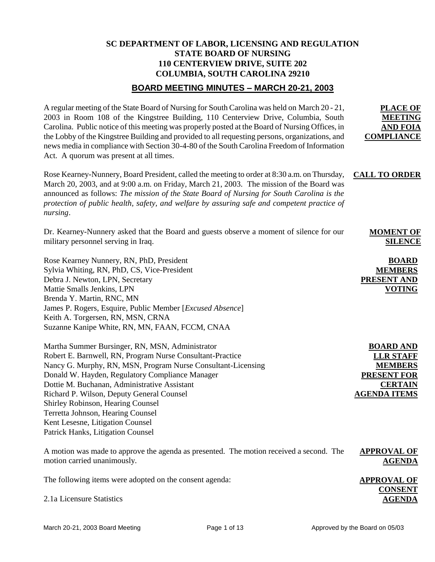# **SC DEPARTMENT OF LABOR, LICENSING AND REGULATION STATE BOARD OF NURSING 110 CENTERVIEW DRIVE, SUITE 202 COLUMBIA, SOUTH CAROLINA 29210**

# **BOARD MEETING MINUTES – MARCH 20-21, 2003**

| A regular meeting of the State Board of Nursing for South Carolina was held on March 20 - 21,<br>2003 in Room 108 of the Kingstree Building, 110 Centerview Drive, Columbia, South<br>Carolina. Public notice of this meeting was properly posted at the Board of Nursing Offices, in<br>the Lobby of the Kingstree Building and provided to all requesting persons, organizations, and<br>news media in compliance with Section 30-4-80 of the South Carolina Freedom of Information<br>Act. A quorum was present at all times. | <b>PLACE OF</b><br><b>MEETING</b><br><b>AND FOIA</b><br><b>COMPLIANCE</b>                                             |
|----------------------------------------------------------------------------------------------------------------------------------------------------------------------------------------------------------------------------------------------------------------------------------------------------------------------------------------------------------------------------------------------------------------------------------------------------------------------------------------------------------------------------------|-----------------------------------------------------------------------------------------------------------------------|
| Rose Kearney-Nunnery, Board President, called the meeting to order at 8:30 a.m. on Thursday,<br>March 20, 2003, and at 9:00 a.m. on Friday, March 21, 2003. The mission of the Board was<br>announced as follows: The mission of the State Board of Nursing for South Carolina is the<br>protection of public health, safety, and welfare by assuring safe and competent practice of<br>nursing.                                                                                                                                 | <b>CALL TO ORDER</b>                                                                                                  |
| Dr. Kearney-Nunnery asked that the Board and guests observe a moment of silence for our<br>military personnel serving in Iraq.                                                                                                                                                                                                                                                                                                                                                                                                   | <b>MOMENT OF</b><br><b>SILENCE</b>                                                                                    |
| Rose Kearney Nunnery, RN, PhD, President<br>Sylvia Whiting, RN, PhD, CS, Vice-President<br>Debra J. Newton, LPN, Secretary<br>Mattie Smalls Jenkins, LPN<br>Brenda Y. Martin, RNC, MN<br>James P. Rogers, Esquire, Public Member [Excused Absence]<br>Keith A. Torgersen, RN, MSN, CRNA<br>Suzanne Kanipe White, RN, MN, FAAN, FCCM, CNAA                                                                                                                                                                                        | <b>BOARD</b><br><b>MEMBERS</b><br><b>PRESENT AND</b><br><b>VOTING</b>                                                 |
| Martha Summer Bursinger, RN, MSN, Administrator<br>Robert E. Barnwell, RN, Program Nurse Consultant-Practice<br>Nancy G. Murphy, RN, MSN, Program Nurse Consultant-Licensing<br>Donald W. Hayden, Regulatory Compliance Manager<br>Dottie M. Buchanan, Administrative Assistant<br>Richard P. Wilson, Deputy General Counsel<br>Shirley Robinson, Hearing Counsel<br>Terretta Johnson, Hearing Counsel<br>Kent Lesesne, Litigation Counsel<br>Patrick Hanks, Litigation Counsel                                                  | <b>BOARD AND</b><br><b>LLR STAFF</b><br><b>MEMBERS</b><br><b>PRESENT FOR</b><br><b>CERTAIN</b><br><b>AGENDA ITEMS</b> |
| A motion was made to approve the agenda as presented. The motion received a second. The<br>motion carried unanimously.                                                                                                                                                                                                                                                                                                                                                                                                           | <b>APPROVAL OF</b><br><b>AGENDA</b>                                                                                   |
| The following items were adopted on the consent agenda:                                                                                                                                                                                                                                                                                                                                                                                                                                                                          | <b>APPROVAL OF</b><br><b>CONSENT</b>                                                                                  |

2.1a Licensure Statistics

**AGENDA**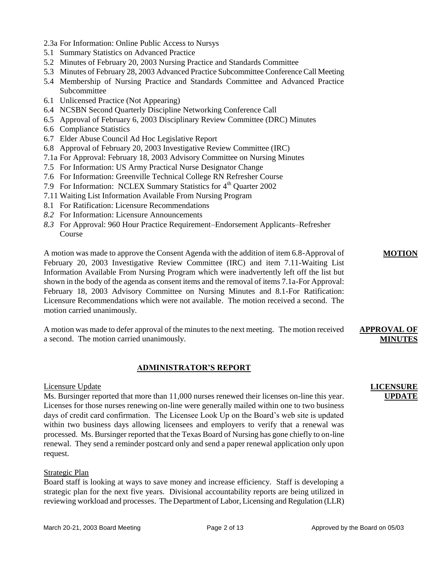- 2.3a For Information: Online Public Access to Nursys
- 5.1 Summary Statistics on Advanced Practice
- 5.2 Minutes of February 20, 2003 Nursing Practice and Standards Committee
- 5.3 Minutes of February 28, 2003 Advanced Practice Subcommittee Conference Call Meeting
- 5.4 Membership of Nursing Practice and Standards Committee and Advanced Practice Subcommittee
- 6.1 Unlicensed Practice (Not Appearing)
- 6.4 NCSBN Second Quarterly Discipline Networking Conference Call
- 6.5 Approval of February 6, 2003 Disciplinary Review Committee (DRC) Minutes
- 6.6 Compliance Statistics
- 6.7 Elder Abuse Council Ad Hoc Legislative Report
- 6.8 Approval of February 20, 2003 Investigative Review Committee (IRC)
- 7.1a For Approval: February 18, 2003 Advisory Committee on Nursing Minutes
- 7.5 For Information: US Army Practical Nurse Designator Change
- 7.6 For Information: Greenville Technical College RN Refresher Course
- 7.9 For Information: NCLEX Summary Statistics for 4<sup>th</sup> Quarter 2002
- 7.11 Waiting List Information Available From Nursing Program
- 8.1 For Ratification: Licensure Recommendations
- *8.2* For Information: Licensure Announcements
- *8.3* For Approval: 960 Hour Practice Requirement–Endorsement Applicants–Refresher Course

A motion was made to approve the Consent Agenda with the addition of item 6.8-Approval of February 20, 2003 Investigative Review Committee (IRC) and item 7.11-Waiting List Information Available From Nursing Program which were inadvertently left off the list but shown in the body of the agenda as consent items and the removal of items 7.1a-For Approval: February 18, 2003 Advisory Committee on Nursing Minutes and 8.1-For Ratification: Licensure Recommendations which were not available. The motion received a second. The motion carried unanimously.

A motion was made to defer approval of the minutes to the next meeting. The motion received a second. The motion carried unanimously.

#### **ADMINISTRATOR'S REPORT**

#### Licensure Update

Ms. Bursinger reported that more than 11,000 nurses renewed their licenses on-line this year. Licenses for those nurses renewing on-line were generally mailed within one to two business days of credit card confirmation. The Licensee Look Up on the Board's web site is updated within two business days allowing licensees and employers to verify that a renewal was processed. Ms. Bursinger reported that the Texas Board of Nursing has gone chiefly to on-line renewal. They send a reminder postcard only and send a paper renewal application only upon request.

#### Strategic Plan

Board staff is looking at ways to save money and increase efficiency. Staff is developing a strategic plan for the next five years. Divisional accountability reports are being utilized in reviewing workload and processes. The Department of Labor, Licensing and Regulation (LLR)

## **LICENSURE UPDATE**

**APPROVAL OF MINUTES**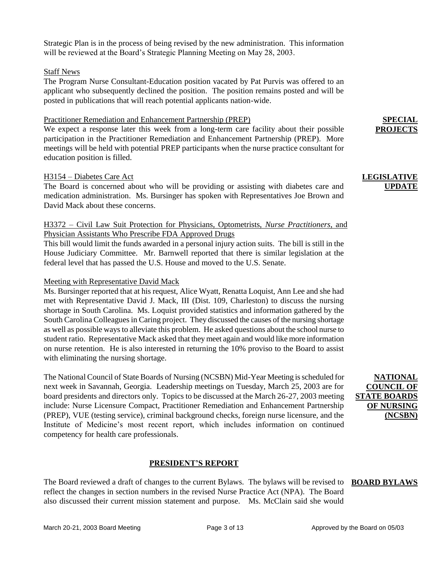Strategic Plan is in the process of being revised by the new administration. This information will be reviewed at the Board's Strategic Planning Meeting on May 28, 2003.

#### Staff News

The Program Nurse Consultant-Education position vacated by Pat Purvis was offered to an applicant who subsequently declined the position. The position remains posted and will be posted in publications that will reach potential applicants nation-wide.

#### Practitioner Remediation and Enhancement Partnership (PREP)

We expect a response later this week from a long-term care facility about their possible participation in the Practitioner Remediation and Enhancement Partnership (PREP). More meetings will be held with potential PREP participants when the nurse practice consultant for education position is filled.

#### H3154 – Diabetes Care Act

The Board is concerned about who will be providing or assisting with diabetes care and medication administration. Ms. Bursinger has spoken with Representatives Joe Brown and David Mack about these concerns.

## H3372 – Civil Law Suit Protection for Physicians, Optometrists, *Nurse Practitioners*, and Physician Assistants Who Prescribe FDA Approved Drugs

This bill would limit the funds awarded in a personal injury action suits. The bill is still in the House Judiciary Committee. Mr. Barnwell reported that there is similar legislation at the federal level that has passed the U.S. House and moved to the U.S. Senate.

#### Meeting with Representative David Mack

Ms. Bursinger reported that at his request, Alice Wyatt, Renatta Loquist, Ann Lee and she had met with Representative David J. Mack, III (Dist. 109, Charleston) to discuss the nursing shortage in South Carolina. Ms. Loquist provided statistics and information gathered by the South Carolina Colleagues in Caring project. They discussed the causes of the nursing shortage as well as possible ways to alleviate this problem. He asked questions about the school nurse to student ratio. Representative Mack asked that they meet again and would like more information on nurse retention. He is also interested in returning the 10% proviso to the Board to assist with eliminating the nursing shortage.

The National Council of State Boards of Nursing (NCSBN) Mid-Year Meeting is scheduled for next week in Savannah, Georgia. Leadership meetings on Tuesday, March 25, 2003 are for board presidents and directors only. Topics to be discussed at the March 26-27, 2003 meeting include: Nurse Licensure Compact, Practitioner Remediation and Enhancement Partnership (PREP), VUE (testing service), criminal background checks, foreign nurse licensure, and the Institute of Medicine's most recent report, which includes information on continued competency for health care professionals.

### **PRESIDENT'S REPORT**

The Board reviewed a draft of changes to the current Bylaws. The bylaws will be revised to **BOARD BYLAWS**reflect the changes in section numbers in the revised Nurse Practice Act (NPA). The Board also discussed their current mission statement and purpose. Ms. McClain said she would

**NATIONAL COUNCIL OF STATE BOARDS OF NURSING (NCSBN)**

**SPECIAL PROJECTS**

## **LEGISLATIVE UPDATE**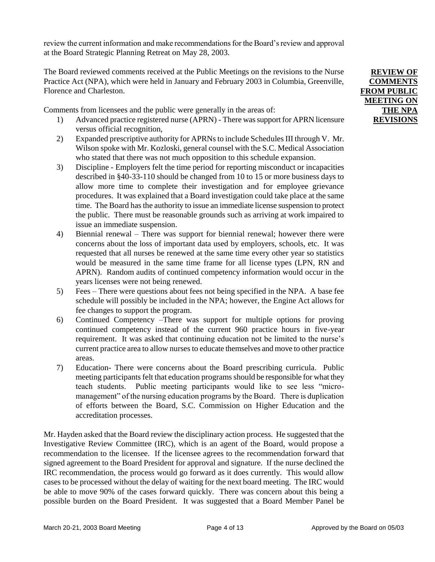review the current information and make recommendations for the Board's review and approval at the Board Strategic Planning Retreat on May 28, 2003.

The Board reviewed comments received at the Public Meetings on the revisions to the Nurse Practice Act (NPA), which were held in January and February 2003 in Columbia, Greenville, Florence and Charleston.

Comments from licensees and the public were generally in the areas of:

- 1) Advanced practice registered nurse (APRN) There was support for APRN licensure versus official recognition,
- 2) Expanded prescriptive authority for APRNs to include Schedules III through V. Mr. Wilson spoke with Mr. Kozloski, general counsel with the S.C. Medical Association who stated that there was not much opposition to this schedule expansion.
- 3) Discipline Employers felt the time period for reporting misconduct or incapacities described in §40-33-110 should be changed from 10 to 15 or more business days to allow more time to complete their investigation and for employee grievance procedures. It was explained that a Board investigation could take place at the same time. The Board has the authority to issue an immediate license suspension to protect the public. There must be reasonable grounds such as arriving at work impaired to issue an immediate suspension.
- 4) Biennial renewal There was support for biennial renewal; however there were concerns about the loss of important data used by employers, schools, etc. It was requested that all nurses be renewed at the same time every other year so statistics would be measured in the same time frame for all license types (LPN, RN and APRN). Random audits of continued competency information would occur in the years licenses were not being renewed.
- 5) Fees There were questions about fees not being specified in the NPA. A base fee schedule will possibly be included in the NPA; however, the Engine Act allows for fee changes to support the program.
- 6) Continued Competency –There was support for multiple options for proving continued competency instead of the current 960 practice hours in five-year requirement. It was asked that continuing education not be limited to the nurse's current practice area to allow nurses to educate themselves and move to other practice areas.
- 7) Education- There were concerns about the Board prescribing curricula. Public meeting participants felt that education programs should be responsible for what they teach students. Public meeting participants would like to see less "micromanagement" of the nursing education programs by the Board. There is duplication of efforts between the Board, S.C. Commission on Higher Education and the accreditation processes.

Mr. Hayden asked that the Board review the disciplinary action process. He suggested that the Investigative Review Committee (IRC), which is an agent of the Board, would propose a recommendation to the licensee. If the licensee agrees to the recommendation forward that signed agreement to the Board President for approval and signature. If the nurse declined the IRC recommendation, the process would go forward as it does currently. This would allow cases to be processed without the delay of waiting for the next board meeting. The IRC would be able to move 90% of the cases forward quickly. There was concern about this being a possible burden on the Board President. It was suggested that a Board Member Panel be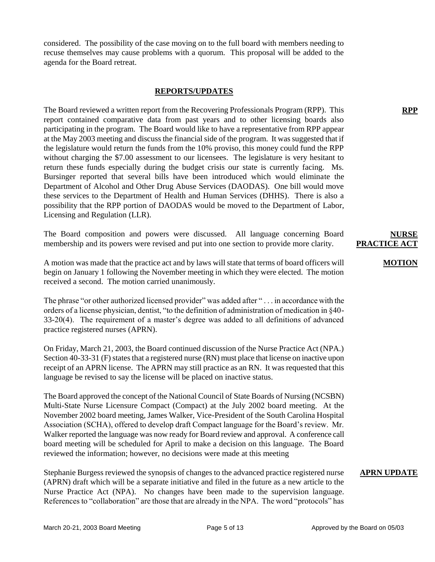considered. The possibility of the case moving on to the full board with members needing to recuse themselves may cause problems with a quorum. This proposal will be added to the agenda for the Board retreat.

#### **REPORTS/UPDATES**

The Board reviewed a written report from the Recovering Professionals Program (RPP). This report contained comparative data from past years and to other licensing boards also participating in the program. The Board would like to have a representative from RPP appear at the May 2003 meeting and discuss the financial side of the program. It was suggested that if the legislature would return the funds from the 10% proviso, this money could fund the RPP without charging the \$7.00 assessment to our licensees. The legislature is very hesitant to return these funds especially during the budget crisis our state is currently facing. Ms. Bursinger reported that several bills have been introduced which would eliminate the Department of Alcohol and Other Drug Abuse Services (DAODAS). One bill would move these services to the Department of Health and Human Services (DHHS). There is also a possibility that the RPP portion of DAODAS would be moved to the Department of Labor, Licensing and Regulation (LLR).

The Board composition and powers were discussed. All language concerning Board membership and its powers were revised and put into one section to provide more clarity.

A motion was made that the practice act and by laws will state that terms of board officers will begin on January 1 following the November meeting in which they were elected. The motion received a second. The motion carried unanimously.

The phrase "or other authorized licensed provider" was added after "... in accordance with the orders of a license physician, dentist, "to the definition of administration of medication in §40- 33-20(4). The requirement of a master's degree was added to all definitions of advanced practice registered nurses (APRN).

On Friday, March 21, 2003, the Board continued discussion of the Nurse Practice Act (NPA.) Section 40-33-31 (F) states that a registered nurse (RN) must place that license on inactive upon receipt of an APRN license. The APRN may still practice as an RN. It was requested that this language be revised to say the license will be placed on inactive status.

The Board approved the concept of the National Council of State Boards of Nursing (NCSBN) Multi-State Nurse Licensure Compact (Compact) at the July 2002 board meeting. At the November 2002 board meeting, James Walker, Vice-President of the South Carolina Hospital Association (SCHA), offered to develop draft Compact language for the Board's review. Mr. Walker reported the language was now ready for Board review and approval. A conference call board meeting will be scheduled for April to make a decision on this language. The Board reviewed the information; however, no decisions were made at this meeting

Stephanie Burgess reviewed the synopsis of changes to the advanced practice registered nurse (APRN) draft which will be a separate initiative and filed in the future as a new article to the Nurse Practice Act (NPA). No changes have been made to the supervision language. References to "collaboration" are those that are already in the NPA. The word "protocols" has

#### **MOTION**

**RPP**

#### **APRN UPDATE**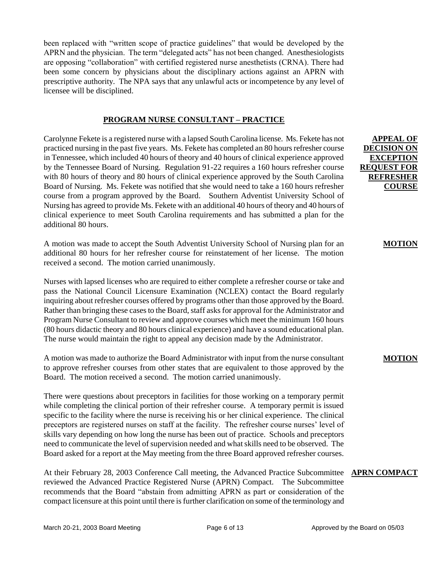been replaced with "written scope of practice guidelines" that would be developed by the APRN and the physician. The term "delegated acts" has not been changed. Anesthesiologists are opposing "collaboration" with certified registered nurse anesthetists (CRNA). There had been some concern by physicians about the disciplinary actions against an APRN with prescriptive authority. The NPA says that any unlawful acts or incompetence by any level of licensee will be disciplined.

## **PROGRAM NURSE CONSULTANT – PRACTICE**

Carolynne Fekete is a registered nurse with a lapsed South Carolina license. Ms. Fekete has not practiced nursing in the past five years. Ms. Fekete has completed an 80 hours refresher course in Tennessee, which included 40 hours of theory and 40 hours of clinical experience approved by the Tennessee Board of Nursing. Regulation 91-22 requires a 160 hours refresher course with 80 hours of theory and 80 hours of clinical experience approved by the South Carolina Board of Nursing. Ms. Fekete was notified that she would need to take a 160 hours refresher course from a program approved by the Board. Southern Adventist University School of Nursing has agreed to provide Ms. Fekete with an additional 40 hours of theory and 40 hours of clinical experience to meet South Carolina requirements and has submitted a plan for the additional 80 hours.

A motion was made to accept the South Adventist University School of Nursing plan for an additional 80 hours for her refresher course for reinstatement of her license. The motion received a second. The motion carried unanimously.

Nurses with lapsed licenses who are required to either complete a refresher course or take and pass the National Council Licensure Examination (NCLEX) contact the Board regularly inquiring about refresher courses offered by programs other than those approved by the Board. Rather than bringing these cases to the Board, staff asks for approval for the Administrator and Program Nurse Consultant to review and approve courses which meet the minimum 160 hours (80 hours didactic theory and 80 hours clinical experience) and have a sound educational plan. The nurse would maintain the right to appeal any decision made by the Administrator.

A motion was made to authorize the Board Administrator with input from the nurse consultant to approve refresher courses from other states that are equivalent to those approved by the Board. The motion received a second. The motion carried unanimously.

There were questions about preceptors in facilities for those working on a temporary permit while completing the clinical portion of their refresher course. A temporary permit is issued specific to the facility where the nurse is receiving his or her clinical experience. The clinical preceptors are registered nurses on staff at the facility. The refresher course nurses' level of skills vary depending on how long the nurse has been out of practice. Schools and preceptors need to communicate the level of supervision needed and what skills need to be observed. The Board asked for a report at the May meeting from the three Board approved refresher courses.

At their February 28, 2003 Conference Call meeting, the Advanced Practice Subcommittee **APRN COMPACT** reviewed the Advanced Practice Registered Nurse (APRN) Compact. The Subcommittee recommends that the Board "abstain from admitting APRN as part or consideration of the compact licensure at this point until there is further clarification on some of the terminology and

**APPEAL OF DECISION ON EXCEPTION REQUEST FOR REFRESHER COURSE**

**MOTION**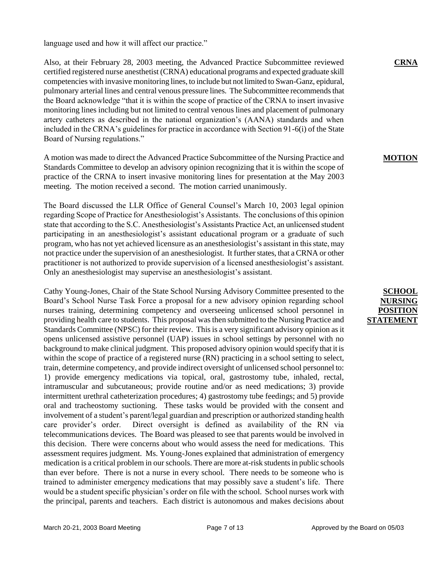language used and how it will affect our practice."

Also, at their February 28, 2003 meeting, the Advanced Practice Subcommittee reviewed certified registered nurse anesthetist (CRNA) educational programs and expected graduate skill competencies with invasive monitoring lines, to include but not limited to Swan-Ganz, epidural, pulmonary arterial lines and central venous pressure lines. The Subcommittee recommends that the Board acknowledge "that it is within the scope of practice of the CRNA to insert invasive monitoring lines including but not limited to central venous lines and placement of pulmonary artery catheters as described in the national organization's (AANA) standards and when included in the CRNA's guidelines for practice in accordance with Section 91-6(i) of the State Board of Nursing regulations."

A motion was made to direct the Advanced Practice Subcommittee of the Nursing Practice and Standards Committee to develop an advisory opinion recognizing that it is within the scope of practice of the CRNA to insert invasive monitoring lines for presentation at the May 2003 meeting. The motion received a second. The motion carried unanimously.

The Board discussed the LLR Office of General Counsel's March 10, 2003 legal opinion regarding Scope of Practice for Anesthesiologist's Assistants. The conclusions of this opinion state that according to the S.C. Anesthesiologist's Assistants Practice Act, an unlicensed student participating in an anesthesiologist's assistant educational program or a graduate of such program, who has not yet achieved licensure as an anesthesiologist's assistant in this state, may not practice under the supervision of an anesthesiologist. It further states, that a CRNA or other practitioner is not authorized to provide supervision of a licensed anesthesiologist's assistant. Only an anesthesiologist may supervise an anesthesiologist's assistant.

Cathy Young-Jones, Chair of the State School Nursing Advisory Committee presented to the Board's School Nurse Task Force a proposal for a new advisory opinion regarding school nurses training, determining competency and overseeing unlicensed school personnel in providing health care to students. This proposal was then submitted to the Nursing Practice and Standards Committee (NPSC) for their review. This is a very significant advisory opinion as it opens unlicensed assistive personnel (UAP) issues in school settings by personnel with no background to make clinical judgment. This proposed advisory opinion would specify that it is within the scope of practice of a registered nurse (RN) practicing in a school setting to select, train, determine competency, and provide indirect oversight of unlicensed school personnel to: 1) provide emergency medications via topical, oral, gastrostomy tube, inhaled, rectal, intramuscular and subcutaneous; provide routine and/or as need medications; 3) provide intermittent urethral catheterization procedures; 4) gastrostomy tube feedings; and 5) provide oral and tracheostomy suctioning. These tasks would be provided with the consent and involvement of a student's parent/legal guardian and prescription or authorized standing health care provider's order. Direct oversight is defined as availability of the RN via telecommunications devices. The Board was pleased to see that parents would be involved in this decision. There were concerns about who would assess the need for medications. This assessment requires judgment. Ms. Young-Jones explained that administration of emergency medication is a critical problem in our schools. There are more at-risk studentsin public schools than ever before. There is not a nurse in every school. There needs to be someone who is trained to administer emergency medications that may possibly save a student's life. There would be a student specific physician's order on file with the school. School nurses work with the principal, parents and teachers. Each district is autonomous and makes decisions about

**CRNA** 

## **MOTION**

## **SCHOOL NURSI POSITIO STATEMENT**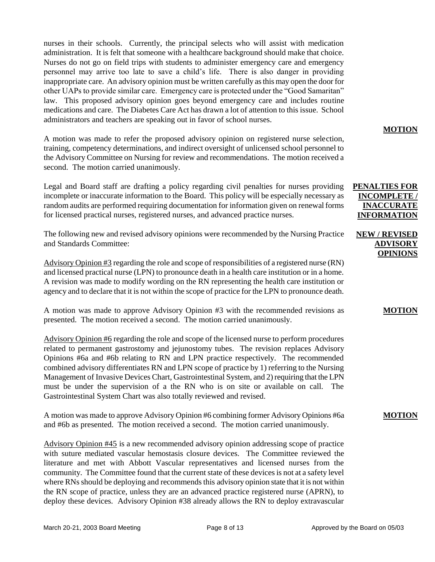nurses in their schools. Currently, the principal selects who will assist with medication administration. It is felt that someone with a healthcare background should make that choice. Nurses do not go on field trips with students to administer emergency care and emergency personnel may arrive too late to save a child's life. There is also danger in providing inappropriate care. An advisory opinion must be written carefully as this may open the door for other UAPs to provide similar care. Emergency care is protected under the "Good Samaritan" law. This proposed advisory opinion goes beyond emergency care and includes routine medications and care. The Diabetes Care Act has drawn a lot of attention to this issue. School administrators and teachers are speaking out in favor of school nurses.

A motion was made to refer the proposed advisory opinion on registered nurse selection, training, competency determinations, and indirect oversight of unlicensed school personnel to the Advisory Committee on Nursing for review and recommendations. The motion received a second. The motion carried unanimously.

Legal and Board staff are drafting a policy regarding civil penalties for nurses providing incomplete or inaccurate information to the Board. This policy will be especially necessary as random audits are performed requiring documentation for information given on renewal forms for licensed practical nurses, registered nurses, and advanced practice nurses.

The following new and revised advisory opinions were recommended by the Nursing Practice and Standards Committee:

Advisory Opinion #3 regarding the role and scope of responsibilities of a registered nurse (RN) and licensed practical nurse (LPN) to pronounce death in a health care institution or in a home. A revision was made to modify wording on the RN representing the health care institution or agency and to declare that it is not within the scope of practice for the LPN to pronounce death.

A motion was made to approve Advisory Opinion #3 with the recommended revisions as presented. The motion received a second. The motion carried unanimously.

Advisory Opinion #6 regarding the role and scope of the licensed nurse to perform procedures related to permanent gastrostomy and jejunostomy tubes. The revision replaces Advisory Opinions #6a and #6b relating to RN and LPN practice respectively. The recommended combined advisory differentiates RN and LPN scope of practice by 1) referring to the Nursing Management of Invasive Devices Chart, Gastrointestinal System, and 2) requiring that the LPN must be under the supervision of a the RN who is on site or available on call. The Gastrointestinal System Chart was also totally reviewed and revised.

A motion was made to approve Advisory Opinion #6 combining former Advisory Opinions #6a and #6b as presented. The motion received a second. The motion carried unanimously.

Advisory Opinion #45 is a new recommended advisory opinion addressing scope of practice with suture mediated vascular hemostasis closure devices. The Committee reviewed the literature and met with Abbott Vascular representatives and licensed nurses from the community. The Committee found that the current state of these devices is not at a safety level where RNs should be deploying and recommends this advisory opinion state that it is not within the RN scope of practice, unless they are an advanced practice registered nurse (APRN), to deploy these devices. Advisory Opinion #38 already allows the RN to deploy extravascular

**MOTION**

## **PENALTIES FOR INCOMPLETE / INACCURATE INFORMATION**

## **NEW / REVISED ADVISORY OPINIONS**

### **MOTION**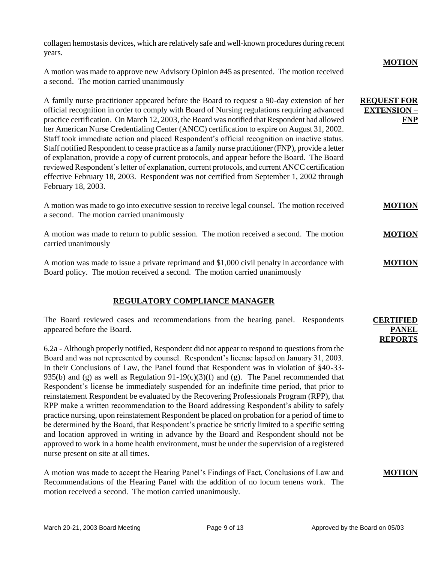collagen hemostasis devices, which are relatively safe and well-known procedures during recent years.

A motion was made to approve new Advisory Opinion #45 as presented. The motion received a second. The motion carried unanimously

A family nurse practitioner appeared before the Board to request a 90-day extension of her official recognition in order to comply with Board of Nursing regulations requiring advanced practice certification. On March 12, 2003, the Board was notified that Respondent had allowed her American Nurse Credentialing Center (ANCC) certification to expire on August 31, 2002. Staff took immediate action and placed Respondent's official recognition on inactive status. Staff notified Respondent to cease practice as a family nurse practitioner (FNP), provide a letter of explanation, provide a copy of current protocols, and appear before the Board. The Board reviewed Respondent's letter of explanation, current protocols, and current ANCC certification effective February 18, 2003. Respondent was not certified from September 1, 2002 through February 18, 2003.

A motion was made to go into executive session to receive legal counsel. The motion received a second. The motion carried unanimously **MOTION**

A motion was made to return to public session. The motion received a second. The motion carried unanimously **MOTION**

A motion was made to issue a private reprimand and \$1,000 civil penalty in accordance with Board policy. The motion received a second. The motion carried unanimously **MOTION**

## **REGULATORY COMPLIANCE MANAGER**

The Board reviewed cases and recommendations from the hearing panel. Respondents appeared before the Board.

6.2a - Although properly notified, Respondent did not appear to respond to questions from the Board and was not represented by counsel. Respondent's license lapsed on January 31, 2003. In their Conclusions of Law, the Panel found that Respondent was in violation of §40-33- 935(b) and (g) as well as Regulation  $91-19(c)(3)(f)$  and (g). The Panel recommended that Respondent's license be immediately suspended for an indefinite time period, that prior to reinstatement Respondent be evaluated by the Recovering Professionals Program (RPP), that RPP make a written recommendation to the Board addressing Respondent's ability to safely practice nursing, upon reinstatement Respondent be placed on probation for a period of time to be determined by the Board, that Respondent's practice be strictly limited to a specific setting and location approved in writing in advance by the Board and Respondent should not be approved to work in a home health environment, must be under the supervision of a registered nurse present on site at all times.

A motion was made to accept the Hearing Panel's Findings of Fact, Conclusions of Law and Recommendations of the Hearing Panel with the addition of no locum tenens work. The motion received a second. The motion carried unanimously.

**CERTIFIED PANEL REPORTS**

**MOTION**

**FNP** 

**REQUEST FOR EXTENSION –**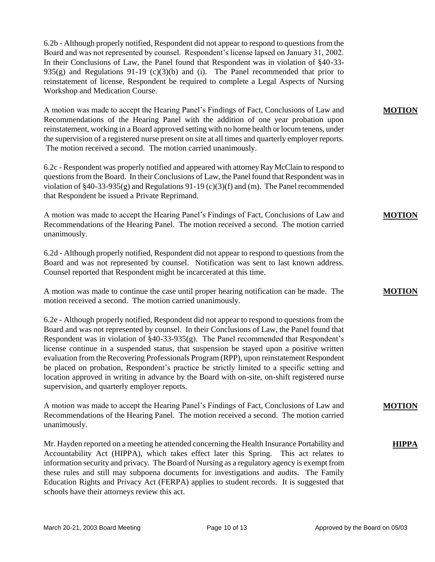6.2b - Although properly notified, Respondent did not appear to respond to questions from the Board and was not represented by counsel. Respondent's license lapsed on January 31, 2002. In their Conclusions of Law, the Panel found that Respondent was in violation of §40-33- 935(g) and Regulations 91-19 (c)(3)(b) and (i). The Panel recommended that prior to reinstatement of license, Respondent be required to complete a Legal Aspects of Nursing Workshop and Medication Course.

A motion was made to accept the Hearing Panel's Findings of Fact, Conclusions of Law and Recommendations of the Hearing Panel with the addition of one year probation upon reinstatement, working in a Board approved setting with no home health or locum tenens, under the supervision of a registered nurse present on site at all times and quarterly employer reports. The motion received a second. The motion carried unanimously.

6.2c - Respondent was properly notified and appeared with attorney Ray McClain to respond to questions from the Board. In their Conclusions of Law, the Panel found that Respondent was in violation of §40-33-935(g) and Regulations 91-19 (c)(3)(f) and (m). The Panel recommended that Respondent be issued a Private Reprimand.

A motion was made to accept the Hearing Panel's Findings of Fact, Conclusions of Law and Recommendations of the Hearing Panel. The motion received a second. The motion carried unanimously.

6.2d - Although properly notified, Respondent did not appear to respond to questions from the Board and was not represented by counsel. Notification was sent to last known address. Counsel reported that Respondent might be incarcerated at this time.

A motion was made to continue the case until proper hearing notification can be made. The motion received a second. The motion carried unanimously.

6.2e - Although properly notified, Respondent did not appear to respond to questions from the Board and was not represented by counsel. In their Conclusions of Law, the Panel found that Respondent was in violation of §40-33-935(g). The Panel recommended that Respondent's license continue in a suspended status, that suspension be stayed upon a positive written evaluation from the Recovering Professionals Program (RPP), upon reinstatement Respondent be placed on probation, Respondent's practice be strictly limited to a specific setting and location approved in writing in advance by the Board with on-site, on-shift registered nurse supervision, and quarterly employer reports.

A motion was made to accept the Hearing Panel's Findings of Fact, Conclusions of Law and Recommendations of the Hearing Panel. The motion received a second. The motion carried unanimously.

Mr. Hayden reported on a meeting he attended concerning the Health Insurance Portability and Accountability Act (HIPPA), which takes effect later this Spring. This act relates to information security and privacy. The Board of Nursing as a regulatory agency is exempt from these rules and still may subpoena documents for investigations and audits. The Family Education Rights and Privacy Act (FERPA) applies to student records. It is suggested that schools have their attorneys review this act.

**MOTION**

**MOTION**

**MOTION**

**MOTION**

**HIPPA**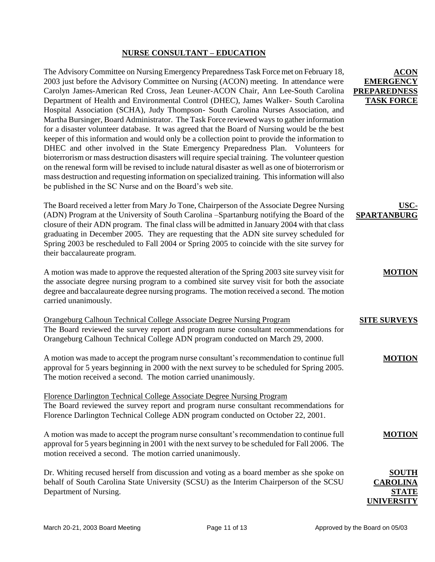## **NURSE CONSULTANT – EDUCATION**

The Advisory Committee on Nursing Emergency Preparedness Task Force met on February 18, 2003 just before the Advisory Committee on Nursing (ACON) meeting. In attendance were Carolyn James-American Red Cross, Jean Leuner-ACON Chair, Ann Lee-South Carolina Department of Health and Environmental Control (DHEC), James Walker- South Carolina Hospital Association (SCHA), Judy Thompson- South Carolina Nurses Association, and Martha Bursinger, Board Administrator. The Task Force reviewed ways to gather information for a disaster volunteer database. It was agreed that the Board of Nursing would be the best keeper of this information and would only be a collection point to provide the information to DHEC and other involved in the State Emergency Preparedness Plan. Volunteers for bioterrorism or mass destruction disasters will require special training. The volunteer question on the renewal form will be revised to include natural disaster as well as one of bioterrorism or mass destruction and requesting information on specialized training. This information will also be published in the SC Nurse and on the Board's web site.

The Board received a letter from Mary Jo Tone, Chairperson of the Associate Degree Nursing (ADN) Program at the University of South Carolina –Spartanburg notifying the Board of the closure of their ADN program. The final class will be admitted in January 2004 with that class graduating in December 2005. They are requesting that the ADN site survey scheduled for Spring 2003 be rescheduled to Fall 2004 or Spring 2005 to coincide with the site survey for their baccalaureate program.

A motion was made to approve the requested alteration of the Spring 2003 site survey visit for the associate degree nursing program to a combined site survey visit for both the associate degree and baccalaureate degree nursing programs. The motion received a second. The motion carried unanimously.

| Orangeburg Calhoun Technical College Associate Degree Nursing Program                 |
|---------------------------------------------------------------------------------------|
| The Board reviewed the survey report and program nurse consultant recommendations for |
| Orangeburg Calhoun Technical College ADN program conducted on March 29, 2000.         |

A motion was made to accept the program nurse consultant's recommendation to continue full approval for 5 years beginning in 2000 with the next survey to be scheduled for Spring 2005. The motion received a second. The motion carried unanimously.

Florence Darlington Technical College Associate Degree Nursing Program The Board reviewed the survey report and program nurse consultant recommendations for Florence Darlington Technical College ADN program conducted on October 22, 2001.

A motion was made to accept the program nurse consultant's recommendation to continue full approval for 5 years beginning in 2001 with the next survey to be scheduled for Fall 2006. The motion received a second. The motion carried unanimously.

Dr. Whiting recused herself from discussion and voting as a board member as she spoke on behalf of South Carolina State University (SCSU) as the Interim Chairperson of the SCSU Department of Nursing.

## **ACON EMERGEN PREPAREDNE TASK FORC**

## **USC-SPARTANBURG**

### **MOTION**

# **SITE SURVEYS**

### **MOTION**

## **MOTION**

# **SOUTH CAROLI STATE UNIVERSITY**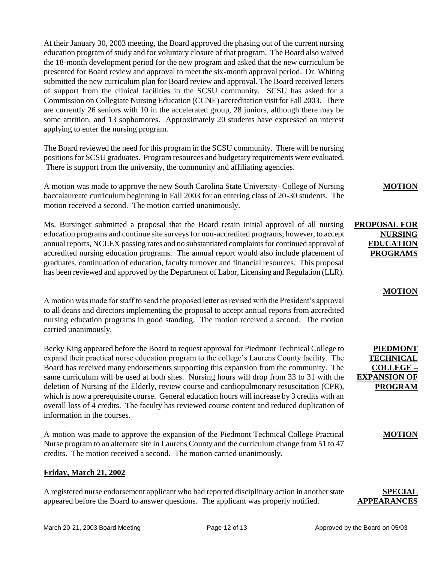At their January 30, 2003 meeting, the Board approved the phasing out of the current nursing education program of study and for voluntary closure of that program. The Board also waived the 18-month development period for the new program and asked that the new curriculum be presented for Board review and approval to meet the six-month approval period. Dr. Whiting submitted the new curriculum plan for Board review and approval. The Board received letters of support from the clinical facilities in the SCSU community. SCSU has asked for a Commission on Collegiate Nursing Education (CCNE) accreditation visit for Fall 2003. There are currently 26 seniors with 10 in the accelerated group, 28 juniors, although there may be some attrition, and 13 sophomores. Approximately 20 students have expressed an interest applying to enter the nursing program.

The Board reviewed the need for this program in the SCSU community. There will be nursing positions for SCSU graduates. Program resources and budgetary requirements were evaluated. There is support from the university, the community and affiliating agencies.

A motion was made to approve the new South Carolina State University- College of Nursing baccalaureate curriculum beginning in Fall 2003 for an entering class of 20-30 students. The motion received a second. The motion carried unanimously.

Ms. Bursinger submitted a proposal that the Board retain initial approval of all nursing education programs and continue site surveys for non-accredited programs; however, to accept annual reports, NCLEX passing rates and no substantiated complaints for continued approval of accredited nursing education programs. The annual report would also include placement of graduates, continuation of education, faculty turnover and financial resources. This proposal has been reviewed and approved by the Department of Labor, Licensing and Regulation (LLR).

A motion was made for staff to send the proposed letter as revised with the President's approval to all deans and directors implementing the proposal to accept annual reports from accredited nursing education programs in good standing. The motion received a second. The motion carried unanimously.

Becky King appeared before the Board to request approval for Piedmont Technical College to expand their practical nurse education program to the college's Laurens County facility. The Board has received many endorsements supporting this expansion from the community. The same curriculum will be used at both sites. Nursing hours will drop from 33 to 31 with the deletion of Nursing of the Elderly, review course and cardiopulmonary resuscitation (CPR), which is now a prerequisite course. General education hours will increase by 3 credits with an overall loss of 4 credits. The faculty has reviewed course content and reduced duplication of information in the courses.

A motion was made to approve the expansion of the Piedmont Technical College Practical Nurse program to an alternate site in Laurens County and the curriculum change from 51 to 47 credits. The motion received a second. The motion carried unanimously.

### **Friday, March 21, 2002**

A registered nurse endorsement applicant who had reported disciplinary action in another state appeared before the Board to answer questions. The applicant was properly notified.

**MOTION**

**NURSING EDUCATION PROGRAMS**

**MOTION**

**PIEDMONT TECHNICAL COLLEGE – EXPANSION OF PROGRAM**

**MOTION**

**PROPOSAL FOR**